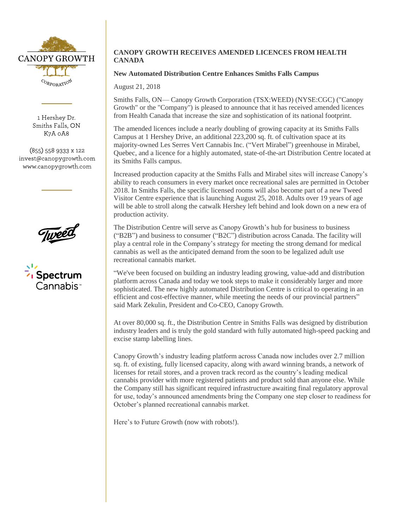

1 Hershey Dr. Smiths Falls, ON K7A 0A8

 $(855)$  558 9333 x 122 invest@canopygrowth.com www.canopygrowth.com





## **CANOPY GROWTH RECEIVES AMENDED LICENCES FROM HEALTH CANADA**

## **New Automated Distribution Centre Enhances Smiths Falls Campus**

August 21, 2018

Smiths Falls, ON— Canopy Growth Corporation (TSX:WEED) (NYSE:CGC) ("Canopy Growth" or the "Company") is pleased to announce that it has received amended licences from Health Canada that increase the size and sophistication of its national footprint.

The amended licences include a nearly doubling of growing capacity at its Smiths Falls Campus at 1 Hershey Drive, an additional 223,200 sq. ft. of cultivation space at its majority-owned Les Serres Vert Cannabis Inc. ("Vert Mirabel") greenhouse in Mirabel, Quebec, and a licence for a highly automated, state-of-the-art Distribution Centre located at its Smiths Falls campus.

Increased production capacity at the Smiths Falls and Mirabel sites will increase Canopy's ability to reach consumers in every market once recreational sales are permitted in October 2018. In Smiths Falls, the specific licensed rooms will also become part of a new Tweed Visitor Centre experience that is launching August 25, 2018. Adults over 19 years of age will be able to stroll along the catwalk Hershey left behind and look down on a new era of production activity.

The Distribution Centre will serve as Canopy Growth's hub for business to business ("B2B") and business to consumer ("B2C") distribution across Canada. The facility will play a central role in the Company's strategy for meeting the strong demand for medical cannabis as well as the anticipated demand from the soon to be legalized adult use recreational cannabis market.

"We've been focused on building an industry leading growing, value-add and distribution platform across Canada and today we took steps to make it considerably larger and more sophisticated. The new highly automated Distribution Centre is critical to operating in an efficient and cost-effective manner, while meeting the needs of our provincial partners" said Mark Zekulin, President and Co-CEO, Canopy Growth.

At over 80,000 sq. ft., the Distribution Centre in Smiths Falls was designed by distribution industry leaders and is truly the gold standard with fully automated high-speed packing and excise stamp labelling lines.

Canopy Growth's industry leading platform across Canada now includes over 2.7 million sq. ft. of existing, fully licensed capacity, along with award winning brands, a network of licenses for retail stores, and a proven track record as the country's leading medical cannabis provider with more registered patients and product sold than anyone else. While the Company still has significant required infrastructure awaiting final regulatory approval for use, today's announced amendments bring the Company one step closer to readiness for October's planned recreational cannabis market.

Here's to Future Growth (now with robots!).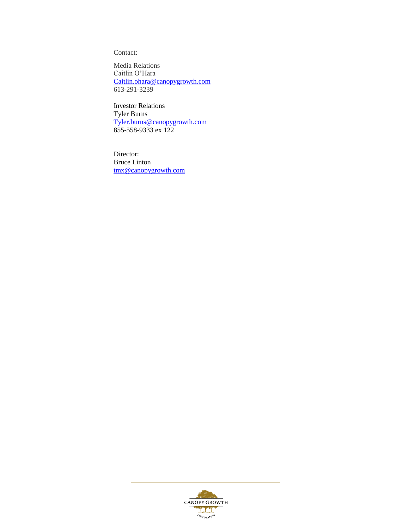Contact:

Media Relations Caitlin O'Hara [Caitlin.ohara@canopygrowth.com](mailto:Caitlin.ohara@canopygrowth.com) 613-291-3239

Investor Relations Tyler Burns [Tyler.burns@canopygrowth.com](mailto:Tyler.burns@canopygrowth.com) 855-558-9333 ex 122

Director: Bruce Linton [tmx@canopygrowth.com](mailto:tmx@canopygrowth.com)